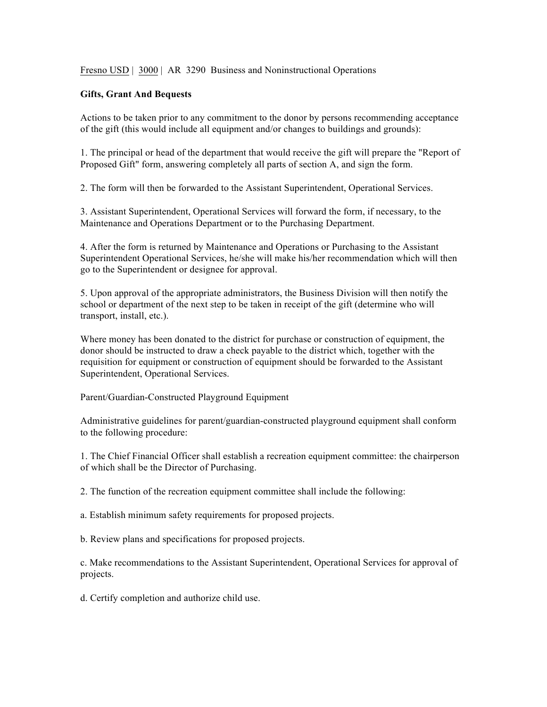Fresno USD | 3000 | AR 3290 Business and Noninstructional Operations

## **Gifts, Grant And Bequests**

Actions to be taken prior to any commitment to the donor by persons recommending acceptance of the gift (this would include all equipment and/or changes to buildings and grounds):

1. The principal or head of the department that would receive the gift will prepare the "Report of Proposed Gift" form, answering completely all parts of section A, and sign the form.

2. The form will then be forwarded to the Assistant Superintendent, Operational Services.

3. Assistant Superintendent, Operational Services will forward the form, if necessary, to the Maintenance and Operations Department or to the Purchasing Department.

4. After the form is returned by Maintenance and Operations or Purchasing to the Assistant Superintendent Operational Services, he/she will make his/her recommendation which will then go to the Superintendent or designee for approval.

5. Upon approval of the appropriate administrators, the Business Division will then notify the school or department of the next step to be taken in receipt of the gift (determine who will transport, install, etc.).

Where money has been donated to the district for purchase or construction of equipment, the donor should be instructed to draw a check payable to the district which, together with the requisition for equipment or construction of equipment should be forwarded to the Assistant Superintendent, Operational Services.

Parent/Guardian-Constructed Playground Equipment

Administrative guidelines for parent/guardian-constructed playground equipment shall conform to the following procedure:

1. The Chief Financial Officer shall establish a recreation equipment committee: the chairperson of which shall be the Director of Purchasing.

2. The function of the recreation equipment committee shall include the following:

a. Establish minimum safety requirements for proposed projects.

b. Review plans and specifications for proposed projects.

c. Make recommendations to the Assistant Superintendent, Operational Services for approval of projects.

d. Certify completion and authorize child use.